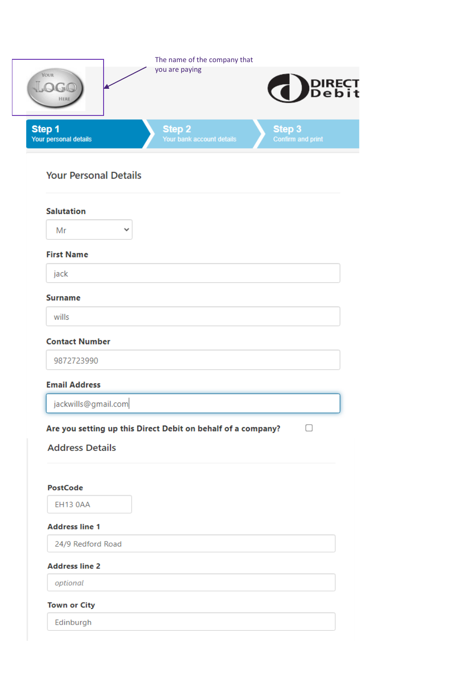| <b>YOUR</b><br>OGO                             | The name of the company that<br>you are paying<br>DIRECT Debit     |
|------------------------------------------------|--------------------------------------------------------------------|
| HERE<br>Step 1<br>Your personal details        | Step 2<br>Step 3<br>Your bank account details<br>Confirm and print |
| <b>Your Personal Details</b>                   |                                                                    |
| <b>Salutation</b><br>Mr                        | v                                                                  |
| <b>First Name</b>                              |                                                                    |
| jack                                           |                                                                    |
| <b>Surname</b>                                 |                                                                    |
| wills                                          |                                                                    |
| <b>Contact Number</b>                          |                                                                    |
| 9872723990                                     |                                                                    |
| <b>Email Address</b>                           |                                                                    |
| jackwills@gmail.com                            |                                                                    |
| <b>Address Details</b><br>PostCode<br>EH13 0AA | Are you setting up this Direct Debit on behalf of a company?       |
| <b>Address line 1</b>                          |                                                                    |
|                                                |                                                                    |
| 24/9 Redford Road                              |                                                                    |
| <b>Address line 2</b>                          |                                                                    |
| optional                                       |                                                                    |
| <b>Town or City</b>                            |                                                                    |